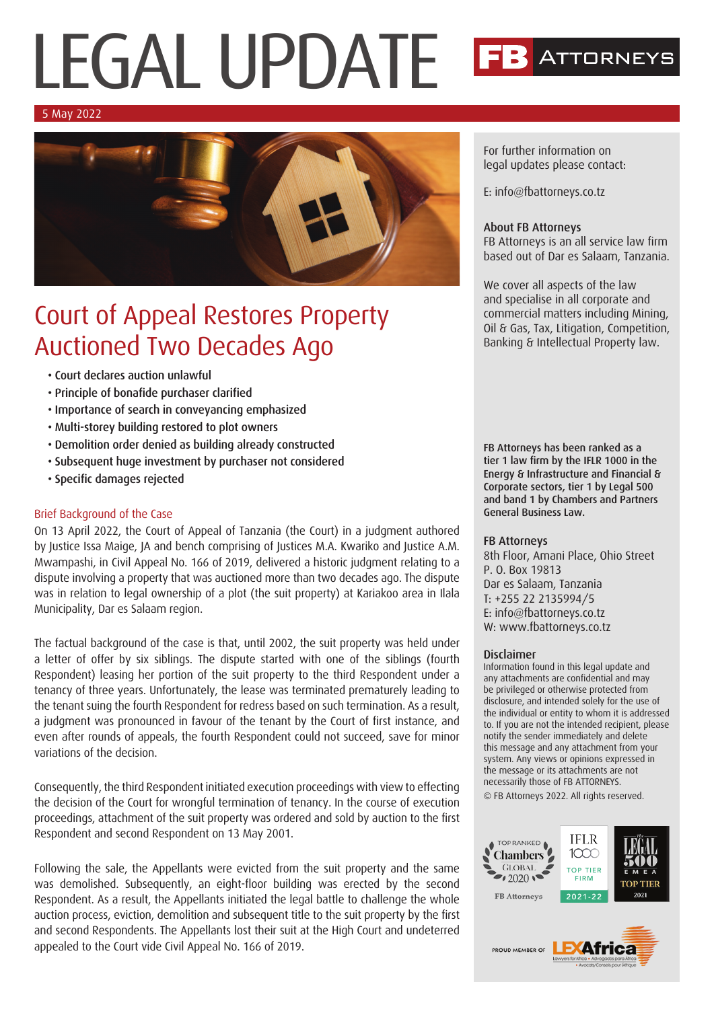# LEGAL UPDATE **ATTORNEYS**

### 5 May 2022



## Court of Appeal Restores Property Auctioned Two Decades Ago

- Court declares auction unlawful
- Principle of bonafide purchaser clarified
- Importance of search in conveyancing emphasized
- Multi-storey building restored to plot owners
- Demolition order denied as building already constructed
- Subsequent huge investment by purchaser not considered
- Specific damages rejected

### Brief Background of the Case

On 13 April 2022, the Court of Appeal of Tanzania (the Court) in a judgment authored by Justice Issa Maige, JA and bench comprising of Justices M.A. Kwariko and Justice A.M. Mwampashi, in Civil Appeal No. 166 of 2019, delivered a historic judgment relating to a dispute involving a property that was auctioned more than two decades ago. The dispute was in relation to legal ownership of a plot (the suit property) at Kariakoo area in Ilala Municipality, Dar es Salaam region.

The factual background of the case is that, until 2002, the suit property was held under a letter of offer by six siblings. The dispute started with one of the siblings (fourth Respondent) leasing her portion of the suit property to the third Respondent under a tenancy of three years. Unfortunately, the lease was terminated prematurely leading to the tenant suing the fourth Respondent for redress based on such termination. As a result, a judgment was pronounced in favour of the tenant by the Court of first instance, and even after rounds of appeals, the fourth Respondent could not succeed, save for minor variations of the decision.

Consequently, the third Respondent initiated execution proceedings with view to effecting the decision of the Court for wrongful termination of tenancy. In the course of execution proceedings, attachment of the suit property was ordered and sold by auction to the first Respondent and second Respondent on 13 May 2001.

Following the sale, the Appellants were evicted from the suit property and the same was demolished. Subsequently, an eight-floor building was erected by the second Respondent. As a result, the Appellants initiated the legal battle to challenge the whole auction process, eviction, demolition and subsequent title to the suit property by the first and second Respondents. The Appellants lost their suit at the High Court and undeterred appealed to the Court vide Civil Appeal No. 166 of 2019.

For further information on legal updates please contact:

E: info@fbattorneys.co.tz

### About FB Attorneys

FB Attorneys is an all service law firm based out of Dar es Salaam, Tanzania.

We cover all aspects of the law and specialise in all corporate and commercial matters including Mining, Oil & Gas, Tax, Litigation, Competition, Banking & Intellectual Property law.

FB Attorneys has been ranked as a tier 1 law firm by the IFLR 1000 in the Energy & Infrastructure and Financial & Corporate sectors, tier 1 by Legal 500 and band 1 by Chambers and Partners General Business Law.

### FB Attorneys

8th Floor, Amani Place, Ohio Street P. O. Box 19813 Dar es Salaam, Tanzania T: +255 22 2135994/5 E: info@fbattorneys.co.tz W: www.fbattorneys.co.tz

### Disclaimer

Information found in this legal update and any attachments are confidential and may be privileged or otherwise protected from disclosure, and intended solely for the use of the individual or entity to whom it is addressed to. If you are not the intended recipient, please notify the sender immediately and delete this message and any attachment from your system. Any views or opinions expressed in the message or its attachments are not necessarily those of FB ATTORNEYS.

© FB Attorneys 2022. All rights reserved.